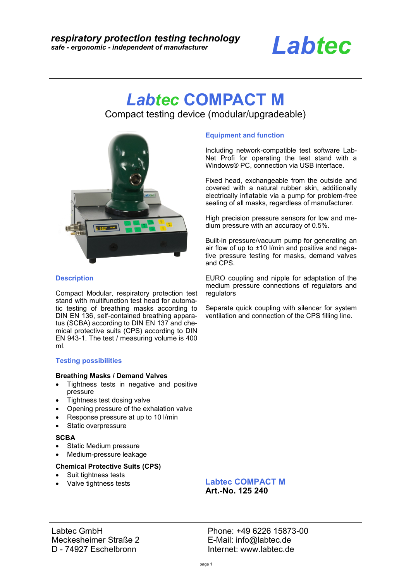# *Labtec*

## *Labtec* **COMPACT M**

Compact testing device (modular/upgradeable)



#### **Description**

Compact Modular, respiratory protection test stand with multifunction test head for automatic testing of breathing masks according to DIN EN 136, self-contained breathing apparatus (SCBA) according to DIN EN 137 and chemical protective suits (CPS) according to DIN EN 943-1. The test / measuring volume is 400 ml.

#### **Testing possibilities**

#### **Breathing Masks / Demand Valves**

- Tightness tests in negative and positive pressure
- Tightness test dosing valve
- Opening pressure of the exhalation valve
- Response pressure at up to 10 l/min
- Static overpressure

#### **SCBA**

- Static Medium pressure
- Medium-pressure leakage

#### **Chemical Protective Suits (CPS)**

- Suit tightness tests
- Valve tightness tests

#### **Equipment and function**

Including network-compatible test software Lab-Net Profi for operating the test stand with a Windows® PC, connection via USB interface.

Fixed head, exchangeable from the outside and covered with a natural rubber skin, additionally electrically inflatable via a pump for problem-free sealing of all masks, regardless of manufacturer.

High precision pressure sensors for low and medium pressure with an accuracy of 0.5%.

Built-in pressure/vacuum pump for generating an air flow of up to  $\pm 10$  l/min and positive and negative pressure testing for masks, demand valves and CPS.

EURO coupling and nipple for adaptation of the medium pressure connections of regulators and regulators

Separate quick coupling with silencer for system ventilation and connection of the CPS filling line.

**Labtec COMPACT M Art.-No. 125 240**

Labtec GmbH Meckesheimer Straße 2 D - 74927 Eschelbronn